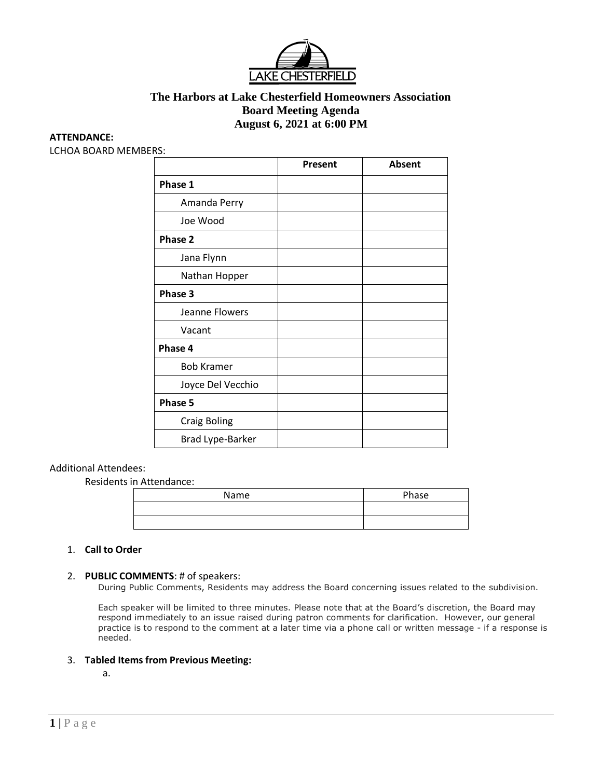

# **The Harbors at Lake Chesterfield Homeowners Association Board Meeting Agenda August 6, 2021 at 6:00 PM**

### **ATTENDANCE:**

LCHOA BOARD MEMBERS:

|                         | Present | Absent |
|-------------------------|---------|--------|
| Phase 1                 |         |        |
| Amanda Perry            |         |        |
| Joe Wood                |         |        |
| Phase 2                 |         |        |
| Jana Flynn              |         |        |
| Nathan Hopper           |         |        |
| Phase 3                 |         |        |
| Jeanne Flowers          |         |        |
| Vacant                  |         |        |
| Phase 4                 |         |        |
| <b>Bob Kramer</b>       |         |        |
| Joyce Del Vecchio       |         |        |
| Phase 5                 |         |        |
| <b>Craig Boling</b>     |         |        |
| <b>Brad Lype-Barker</b> |         |        |

### Additional Attendees:

Residents in Attendance:

| Name | Phase |
|------|-------|
|      |       |
|      |       |

### 1. **Call to Order**

### 2. **PUBLIC COMMENTS**: # of speakers:

During Public Comments, Residents may address the Board concerning issues related to the subdivision.

Each speaker will be limited to three minutes. Please note that at the Board's discretion, the Board may respond immediately to an issue raised during patron comments for clarification. However, our general practice is to respond to the comment at a later time via a phone call or written message - if a response is needed.

### 3. **Tabled Items from Previous Meeting:**

a.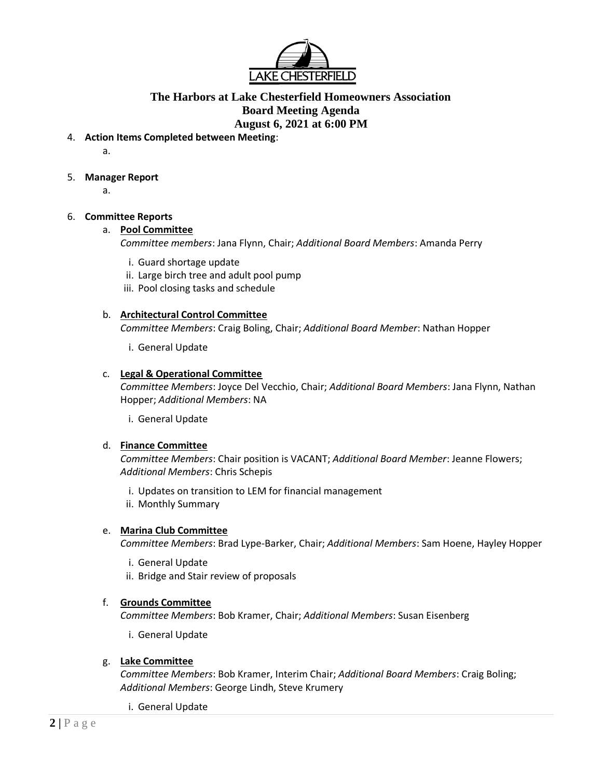

# **The Harbors at Lake Chesterfield Homeowners Association Board Meeting Agenda August 6, 2021 at 6:00 PM**

4. **Action Items Completed between Meeting**:

a.

- 5. **Manager Report**
	- a.

# 6. **Committee Reports**

## a. **Pool Committee**

*Committee members*: Jana Flynn, Chair; *Additional Board Members*: Amanda Perry

- i. Guard shortage update
- ii. Large birch tree and adult pool pump
- iii. Pool closing tasks and schedule

## b. **Architectural Control Committee**

*Committee Members*: Craig Boling, Chair; *Additional Board Member*: Nathan Hopper

i. General Update

## c. **Legal & Operational Committee**

*Committee Members*: Joyce Del Vecchio, Chair; *Additional Board Members*: Jana Flynn, Nathan Hopper; *Additional Members*: NA

i. General Update

## d. **Finance Committee**

*Committee Members*: Chair position is VACANT; *Additional Board Member*: Jeanne Flowers; *Additional Members*: Chris Schepis

- i. Updates on transition to LEM for financial management
- ii. Monthly Summary

## e. **Marina Club Committee**

*Committee Members*: Brad Lype-Barker, Chair; *Additional Members*: Sam Hoene, Hayley Hopper

- i. General Update
- ii. Bridge and Stair review of proposals

## f. **Grounds Committee**

*Committee Members*: Bob Kramer, Chair; *Additional Members*: Susan Eisenberg

i. General Update

## g. **Lake Committee**

*Committee Members*: Bob Kramer, Interim Chair; *Additional Board Members*: Craig Boling; *Additional Members*: George Lindh, Steve Krumery

i. General Update